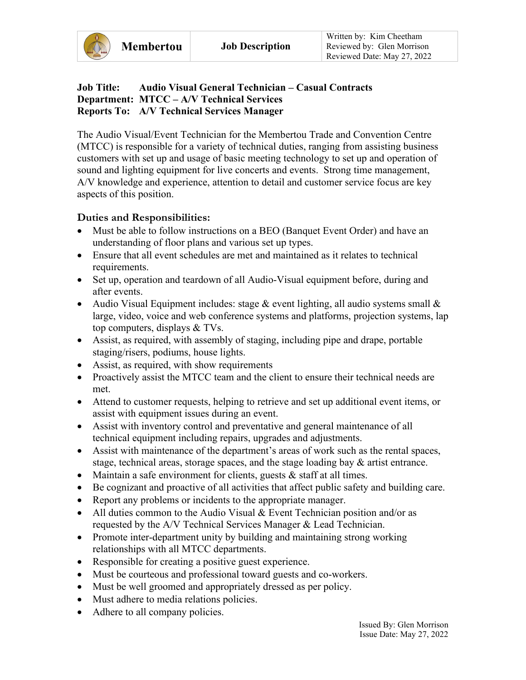## **Job Title: Audio Visual General Technician – Casual Contracts Department: MTCC – A/V Technical Services Reports To: A/V Technical Services Manager**

The Audio Visual/Event Technician for the Membertou Trade and Convention Centre (MTCC) is responsible for a variety of technical duties, ranging from assisting business customers with set up and usage of basic meeting technology to set up and operation of sound and lighting equipment for live concerts and events. Strong time management, A/V knowledge and experience, attention to detail and customer service focus are key aspects of this position.

## **Duties and Responsibilities:**

- Must be able to follow instructions on a BEO (Banquet Event Order) and have an understanding of floor plans and various set up types.
- Ensure that all event schedules are met and maintained as it relates to technical requirements.
- Set up, operation and teardown of all Audio-Visual equipment before, during and after events.
- Audio Visual Equipment includes: stage  $&$  event lighting, all audio systems small  $&$ large, video, voice and web conference systems and platforms, projection systems, lap top computers, displays & TVs.
- Assist, as required, with assembly of staging, including pipe and drape, portable staging/risers, podiums, house lights.
- Assist, as required, with show requirements
- Proactively assist the MTCC team and the client to ensure their technical needs are met.
- Attend to customer requests, helping to retrieve and set up additional event items, or assist with equipment issues during an event.
- Assist with inventory control and preventative and general maintenance of all technical equipment including repairs, upgrades and adjustments.
- Assist with maintenance of the department's areas of work such as the rental spaces, stage, technical areas, storage spaces, and the stage loading bay & artist entrance.
- Maintain a safe environment for clients, guests  $&$  staff at all times.
- Be cognizant and proactive of all activities that affect public safety and building care.
- Report any problems or incidents to the appropriate manager.
- All duties common to the Audio Visual & Event Technician position and/or as requested by the A/V Technical Services Manager & Lead Technician.
- Promote inter-department unity by building and maintaining strong working relationships with all MTCC departments.
- Responsible for creating a positive guest experience.
- Must be courteous and professional toward guests and co-workers.
- Must be well groomed and appropriately dressed as per policy.
- Must adhere to media relations policies.
- Adhere to all company policies.